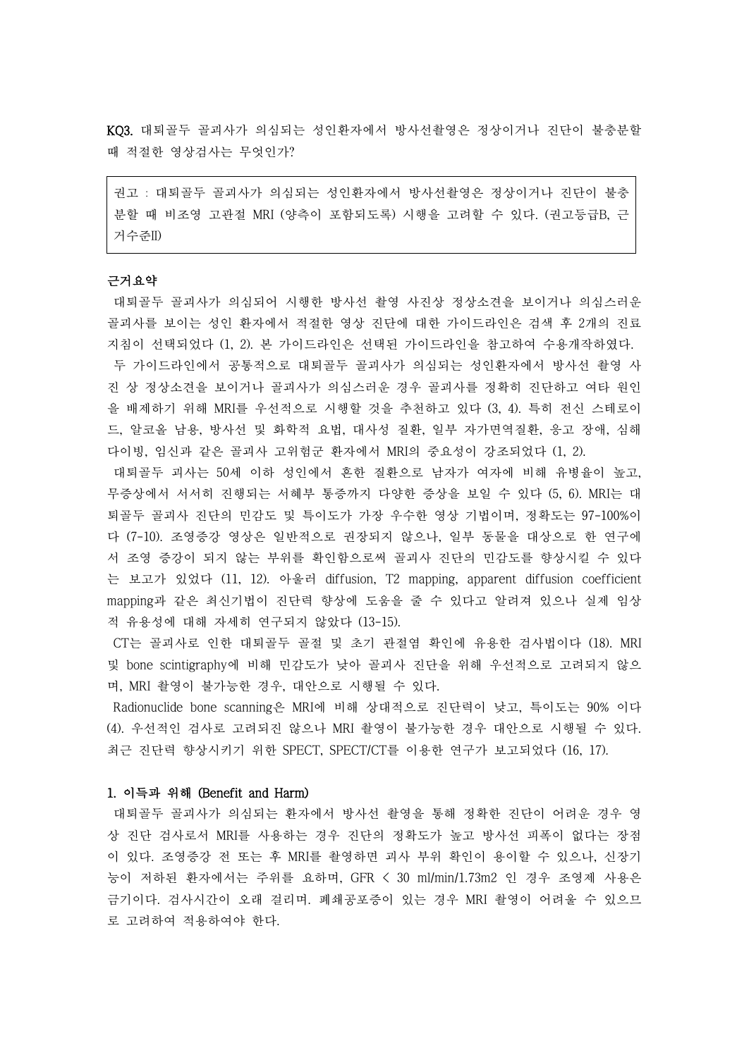KQ3. 대퇴골두 골괴사가 의심되는 성인환자에서 방사선촬영은 정상이거나 진단이 불충분할 때 적절한 영상검사는 무엇인가?

권고 : 대퇴골두 골괴사가 의심되는 성인환자에서 방사선촬영은 정상이거나 진단이 불충 분할 때 비조영 고관절 MRI (양측이 포함되도록) 시행을 고려할 수 있다. (권고등급B, 근 거수준II)

#### 근거요약

대퇴골두 골괴사가 의심되어 시행한 방사선 촬영 사진상 정상소견을 보이거나 의심스러운 골괴사를 보이는 성인 환자에서 적절한 영상 진단에 대한 가이드라인은 검색 후 2개의 진료 지침이 선택되었다 (1, 2). 본 가이드라인은 선택된 가이드라인을 참고하여 수용개작하였다. 두 가이드라인에서 공통적으로 대퇴골두 골괴사가 의심되는 성인환자에서 방사선 촬영 사 진 상 정상소견을 보이거나 골괴사가 의심스러운 경우 골괴사를 정확히 진단하고 여타 원인 을 배제하기 위해 MRI를 우선적으로 시행할 것을 추천하고 있다 (3, 4). 특히 전신 스테로이 드, 알코올 남용, 방사선 및 화학적 요법, 대사성 질환, 일부 자가면역질환, 응고 장애, 심해 다이빙, 임신과 같은 골괴사 고위험군 환자에서 MRI의 중요성이 강조되었다 (1, 2).

- 대퇴골두 괴사는 50세 이하 성인에서 흔한 질환으로 남자가 여자에 비해 유병율이 높고,<br>무증상에서 서서히 진행되는 서혜부 통증까지 다양한 증상을 보일 수 있다 (5, 6). MRI는 대 퇴골두 골괴사 진단의 민감도 및 특이도가 가장 우수한 영상 기법이며, 정확도는 97-100%이 다 (7-10). 조영증강 영상은 일반적으로 권장되지 않으나, 일부 동물을 대상으로 한 연구에 서 조영 증강이 되지 않는 부위를 확인함으로써 골괴사 진단의 민감도를 향상시킬 수 있다 는 보고가 있었다 (11, 12). 아울러 diffusion, T2 mapping, apparent diffusion coefficient mapping과 같은 최신기법이 진단력 향상에 도움을 줄 수 있다고 알려져 있으나 실제 임상 적 유용성에 대해 자세히 연구되지 않았다 (13-15).

CT는 골괴사로 인한 대퇴골두 골절 및 초기 관절염 확인에 유용한 검사법이다 (18). MRI 및 bone scintigraphy에 비해 민감도가 낮아 골괴사 진단을 위해 우선적으로 고려되지 않으 며, MRI 촬영이 불가능한 경우, 대안으로 시행될 수 있다.<br>Radionuclide bone scanning은 MRI에 비해 상대적으로 진단력이 낮고, 특이도는 90% 이다

(4). 우선적인 검사로 고려되진 않으나 MRI 촬영이 불가능한 경우 대안으로 시행될 수 있다.<br>최근 진단력 향상시키기 위한 SPECT, SPECT/CT를 이용한 연구가 보고되었다 (16, 17).

# 1. 이득과 위해 (Benefit and Harm)

대퇴골두 골괴사가 의심되는 환자에서 방사선 촬영을 통해 정확한 진단이 어려운 경우 영 상 진단 검사로서 MRI를 사용하는 경우 진단의 정확도가 높고 방사선 피폭이 없다는 장점 이 있다. 조영증강 전 또는 후 MRI를 촬영하면 괴사 부위 확인이 용이할 수 있으나, 신장기 능이 저하된 환자에서는 주위를 요하며, GFR < 30 ml/min/1.73m2 인 경우 조영제 사용은 금기이다. 검사시간이 오래 걸리며. 폐쇄공포증이 있는 경우 MRI 촬영이 어려울 수 있으므 로 고려하여 적용하여야 한다.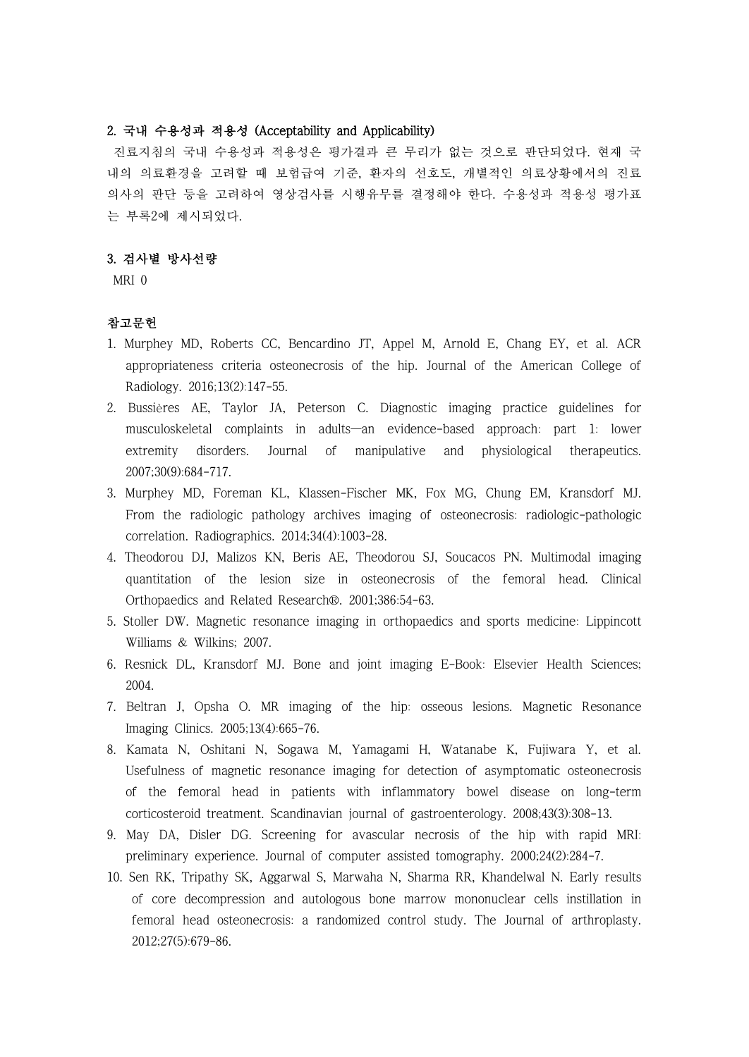# 2. 국내 수용성과 적용성 (Acceptability and Applicability)

진료지침의 국내 수용성과 적용성은 평가결과 큰 무리가 없는 것으로 판단되었다. 현재 국 내의 의료환경을 고려할 때 보험급여 기준, 환자의 선호도, 개별적인 의료상황에서의 진료 의사의 판단 등을 고려하여 영상검사를 시행유무를 결정해야 한다. 수용성과 적용성 평가표 는 부록2에 제시되었다.

### 3. 검사별 방사선량

MRI 0

### 참고문헌

- 1. Murphey MD, Roberts CC, Bencardino JT, Appel M, Arnold E, Chang EY, et al. ACR appropriateness criteria osteonecrosis of the hip. Journal of the American College of Radiology. 2016;13(2):147-55.
- 2. Bussières AE, Taylor JA, Peterson C. Diagnostic imaging practice guidelines for musculoskeletal complaints in adults—an evidence-based approach: part 1: lower extremity disorders. Journal of manipulative and physiological therapeutics. 2007;30(9):684-717.
- 3. Murphey MD, Foreman KL, Klassen-Fischer MK, Fox MG, Chung EM, Kransdorf MJ. From the radiologic pathology archives imaging of osteonecrosis: radiologic-pathologic correlation. Radiographics. 2014;34(4):1003-28.
- 4. Theodorou DJ, Malizos KN, Beris AE, Theodorou SJ, Soucacos PN. Multimodal imaging quantitation of the lesion size in osteonecrosis of the femoral head. Clinical Orthopaedics and Related Research®. 2001;386:54-63.
- 5. Stoller DW. Magnetic resonance imaging in orthopaedics and sports medicine: Lippincott Williams & Wilkins; 2007.
- 6. Resnick DL, Kransdorf MJ. Bone and joint imaging E-Book: Elsevier Health Sciences; 2004.
- 7. Beltran J, Opsha O. MR imaging of the hip: osseous lesions. Magnetic Resonance Imaging Clinics. 2005;13(4):665-76.
- 8. Kamata N, Oshitani N, Sogawa M, Yamagami H, Watanabe K, Fujiwara Y, et al. Usefulness of magnetic resonance imaging for detection of asymptomatic osteonecrosis of the femoral head in patients with inflammatory bowel disease on long-term corticosteroid treatment. Scandinavian journal of gastroenterology. 2008;43(3):308-13.
- 9. May DA, Disler DG. Screening for avascular necrosis of the hip with rapid MRI: preliminary experience. Journal of computer assisted tomography. 2000;24(2):284-7.
- 10. Sen RK, Tripathy SK, Aggarwal S, Marwaha N, Sharma RR, Khandelwal N. Early results of core decompression and autologous bone marrow mononuclear cells instillation in femoral head osteonecrosis: a randomized control study. The Journal of arthroplasty. 2012;27(5):679-86.